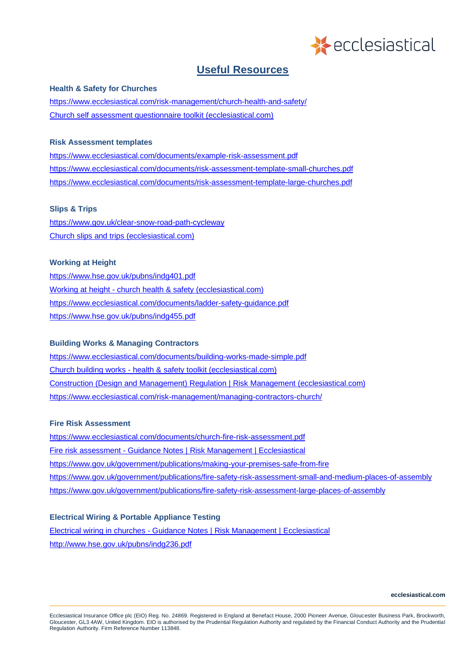

# **Useful Resources**

### **Health & Safety for Churches**

<https://www.ecclesiastical.com/risk-management/church-health-and-safety/> [Church self assessment questionnaire toolkit \(ecclesiastical.com\)](https://www.ecclesiastical.com/documents/church-self-assessment-questionnaire.pdf)

### **Risk Assessment templates**

<https://www.ecclesiastical.com/documents/example-risk-assessment.pdf> <https://www.ecclesiastical.com/documents/risk-assessment-template-small-churches.pdf> <https://www.ecclesiastical.com/documents/risk-assessment-template-large-churches.pdf>

### **Slips & Trips**

<https://www.gov.uk/clear-snow-road-path-cycleway> [Church slips and trips \(ecclesiastical.com\)](https://www.ecclesiastical.com/documents/church-slips-and-trips.pdf)

### **Working at Height**

<https://www.hse.gov.uk/pubns/indg401.pdf> Working at height - [church health & safety \(ecclesiastical.com\)](https://www.ecclesiastical.com/documents/working-at-height.pdf) <https://www.ecclesiastical.com/documents/ladder-safety-guidance.pdf> <https://www.hse.gov.uk/pubns/indg455.pdf>

### **Building Works & Managing Contractors**

<https://www.ecclesiastical.com/documents/building-works-made-simple.pdf> Church building works - [health & safety toolkit \(ecclesiastical.com\)](https://www.ecclesiastical.com/documents/church-building-works-guidance.pdf) [Construction \(Design and Management\) Regulation | Risk Management \(ecclesiastical.com\)](https://www.ecclesiastical.com/risk-management/cdm-regulations/) <https://www.ecclesiastical.com/risk-management/managing-contractors-church/>

### **Fire Risk Assessment**

<https://www.ecclesiastical.com/documents/church-fire-risk-assessment.pdf> Fire risk assessment - [Guidance Notes | Risk Management | Ecclesiastical](https://www.ecclesiastical.com/documents/church-fire-risk-assessment-guidance.pdf) <https://www.gov.uk/government/publications/making-your-premises-safe-from-fire> <https://www.gov.uk/government/publications/fire-safety-risk-assessment-small-and-medium-places-of-assembly> <https://www.gov.uk/government/publications/fire-safety-risk-assessment-large-places-of-assembly>

### **Electrical Wiring & Portable Appliance Testing**

Electrical wiring in churches - [Guidance Notes | Risk Management | Ecclesiastical](https://www.ecclesiastical.com/documents/church-electrical-wiring-guidance.pdf) <http://www.hse.gov.uk/pubns/indg236.pdf>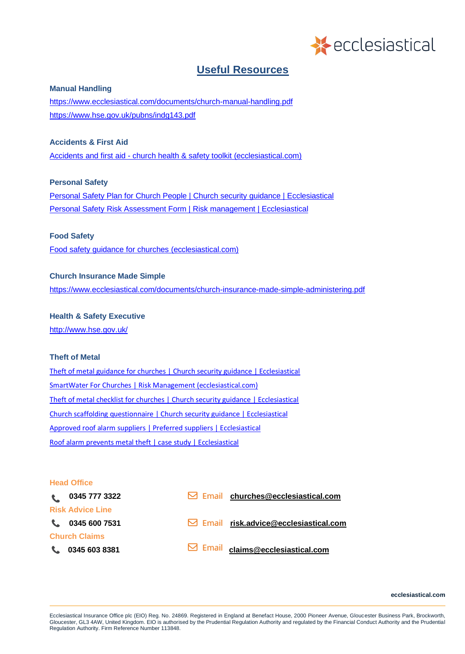

# **Useful Resources**

#### **Manual Handling**

<https://www.ecclesiastical.com/documents/church-manual-handling.pdf> <https://www.hse.gov.uk/pubns/indg143.pdf>

# **Accidents & First Aid**

Accidents and first aid - [church health & safety toolkit \(ecclesiastical.com\)](https://www.ecclesiastical.com/documents/accident-and-first-aid-guidance.pdf)

## **Personal Safety**

[Personal Safety Plan for Church People | Church security guidance | Ecclesiastical](https://www.ecclesiastical.com/documents/personal-safety-plan.pdf) [Personal Safety Risk Assessment Form | Risk management | Ecclesiastical](https://www.ecclesiastical.com/documents/Personal-safety-risk-assessment-form.pdf)

## **Food Safety**

[Food safety guidance for churches \(ecclesiastical.com\)](https://www.ecclesiastical.com/documents/church-food-safety-guidance.pdf)

### **Church Insurance Made Simple**

<https://www.ecclesiastical.com/documents/church-insurance-made-simple-administering.pdf>

# **Health & Safety Executive**

<http://www.hse.gov.uk/>

## **Theft of Metal**

[Theft of metal guidance for churches | Church security guidance | Ecclesiastical](https://www.ecclesiastical.com/documents/churchMetalTheftGuidance.pdf) [SmartWater For Churches | Risk Management \(ecclesiastical.com\)](https://www.ecclesiastical.com/risk-management/smartwater/) [Theft of metal checklist for churches | Church security guidance | Ecclesiastical](https://www.ecclesiastical.com/documents/theft-of-metal-checklist.pdf) [Church scaffolding questionnaire | Church security guidance | Ecclesiastical](https://www.ecclesiastical.com/documents/scaffolding-checklist.pdf) [Approved roof alarm suppliers | Preferred suppliers | Ecclesiastical](https://www.ecclesiastical.com/documents/ecclesiastical-approved-roof-alarm-suppliers.pdf) [Roof alarm prevents metal theft | case study | Ecclesiastical](https://www.ecclesiastical.com/documents/metalTheftCaseStudy.pdf)

### **Head Office**

| $\mathbf{t}$ | 0345 777 3322           | $\boxdot$ Email churches@ecclesiastical.com    |
|--------------|-------------------------|------------------------------------------------|
|              | <b>Risk Advice Line</b> |                                                |
|              | 103456007531            | $\boxdot$ Email risk.advice@ecclesiastical.com |
|              | <b>Church Claims</b>    |                                                |
|              | $C = 03456038381$       | <b>S</b> Email claims@ecclesiastical.com       |

**ecclesiastical.com**

Ecclesiastical Insurance Office plc (EIO) Reg. No. 24869. Registered in England at Benefact House, 2000 Pioneer Avenue, Gloucester Business Park, Brockworth, Gloucester, GL3 4AW, United Kingdom. EIO is authorised by the Prudential Regulation Authority and regulated by the Financial Conduct Authority and the Prudential Regulation Authority. Firm Reference Number 113848.